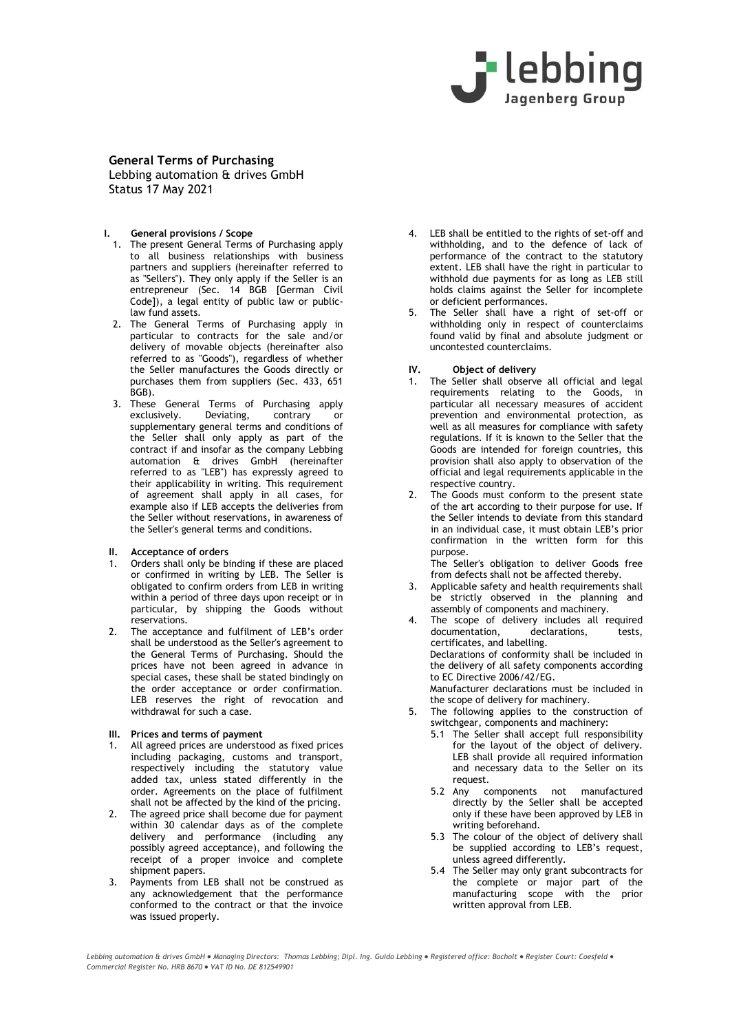

## **I. General provisions / Scope**

- 1. The present General Terms of Purchasing apply to all business relationships with business partners and suppliers (hereinafter referred to as "Sellers"). They only apply if the Seller is an entrepreneur (Sec. 14 BGB [German Civil Code]), a legal entity of public law or publiclaw fund assets.
- 2. The General Terms of Purchasing apply in particular to contracts for the sale and/or delivery of movable objects (hereinafter also referred to as "Goods"), regardless of whether the Seller manufactures the Goods directly or purchases them from suppliers (Sec. 433, 651 BGB).
- 3. These General Terms of Purchasing apply exclusively. Deviating, contrary or supplementary general terms and conditions of the Seller shall only apply as part of the contract if and insofar as the company Lebbing automation & drives GmbH (hereinafter referred to as "LEB") has expressly agreed to their applicability in writing. This requirement of agreement shall apply in all cases, for example also if LEB accepts the deliveries from the Seller without reservations, in awareness of the Seller's general terms and conditions.

## **II. Acceptance of orders**

- 1. Orders shall only be binding if these are placed or confirmed in writing by LEB. The Seller is obligated to confirm orders from LEB in writing within a period of three days upon receipt or in particular, by shipping the Goods without reservations.
- 2. The acceptance and fulfilment of LEB's order shall be understood as the Seller's agreement to the General Terms of Purchasing. Should the prices have not been agreed in advance in special cases, these shall be stated bindingly on the order acceptance or order confirmation. LEB reserves the right of revocation and withdrawal for such a case.

## **III. Prices and terms of payment**

- 1. All agreed prices are understood as fixed prices including packaging, customs and transport, respectively including the statutory value added tax, unless stated differently in the order. Agreements on the place of fulfilment shall not be affected by the kind of the pricing.
- 2. The agreed price shall become due for payment within 30 calendar days as of the complete delivery and performance (including any possibly agreed acceptance), and following the receipt of a proper invoice and complete shipment papers.
- 3. Payments from LEB shall not be construed as any acknowledgement that the performance conformed to the contract or that the invoice was issued properly.
- 4. LEB shall be entitled to the rights of set-off and withholding, and to the defence of lack of performance of the contract to the statutory extent. LEB shall have the right in particular to withhold due payments for as long as LEB still holds claims against the Seller for incomplete or deficient performances.
- 5. The Seller shall have a right of set-off or withholding only in respect of counterclaims found valid by final and absolute judgment or uncontested counterclaims.

## **IV. Object of delivery**

- 1. The Seller shall observe all official and legal requirements relating to the Goods, in particular all necessary measures of accident prevention and environmental protection, as well as all measures for compliance with safety regulations. If it is known to the Seller that the Goods are intended for foreign countries, this provision shall also apply to observation of the official and legal requirements applicable in the respective country.
- 2. The Goods must conform to the present state of the art according to their purpose for use. If the Seller intends to deviate from this standard in an individual case, it must obtain LEB's prior confirmation in the written form for this purpose.

The Seller's obligation to deliver Goods free from defects shall not be affected thereby.

- 3. Applicable safety and health requirements shall be strictly observed in the planning and assembly of components and machinery.
- 4. The scope of delivery includes all required documentation, declarations, tests, certificates, and labelling. Declarations of conformity shall be included in the delivery of all safety components according to EC Directive 2006/42/EG.

Manufacturer declarations must be included in the scope of delivery for machinery.

- 5. The following applies to the construction of switchgear, components and machinery:
	- 5.1 The Seller shall accept full responsibility for the layout of the object of delivery. LEB shall provide all required information and necessary data to the Seller on its request.
	- 5.2 Any components not manufactured directly by the Seller shall be accepted only if these have been approved by LEB in writing beforehand.
	- 5.3 The colour of the object of delivery shall be supplied according to LEB's request, unless agreed differently.
	- 5.4 The Seller may only grant subcontracts for the complete or major part of the manufacturing scope with the prior written approval from LEB.

*Lebbing automation & drives GmbH Managing Directors: Thomas Lebbing; Dipl. Ing. Guido Lebbing Registered office: Bocholt Register Court: Coesfeld Commercial Register No. HRB 8670 VAT ID No. DE 812549901*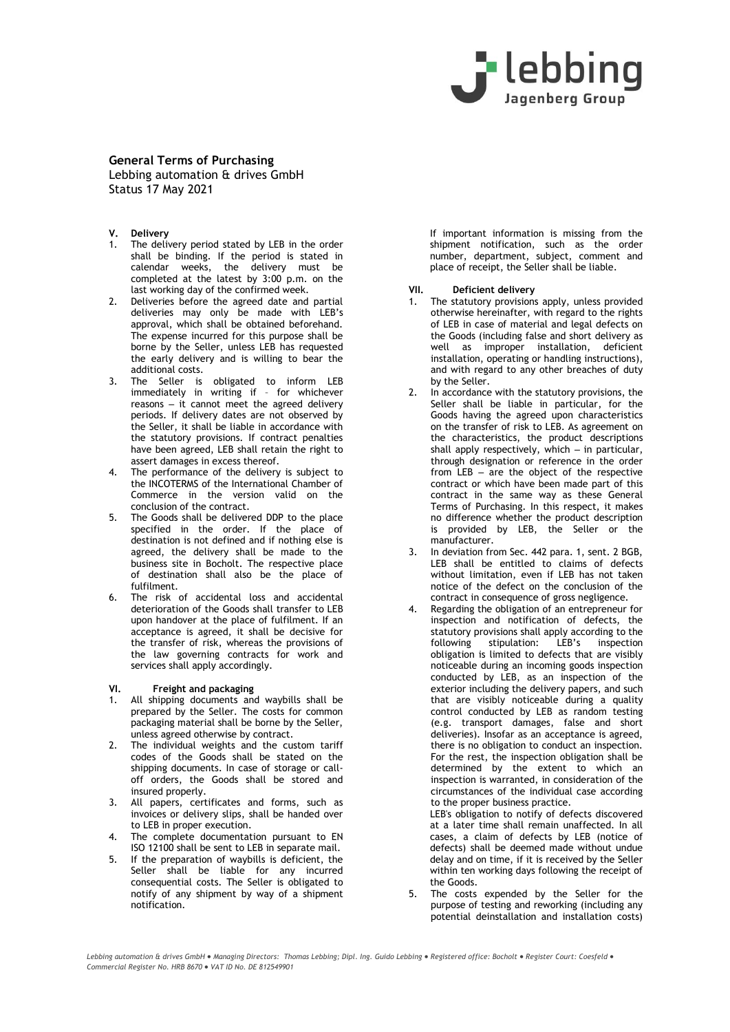

- **V. Delivery**
- 1. The delivery period stated by LEB in the order shall be binding. If the period is stated in calendar weeks, the delivery must be completed at the latest by 3:00 p.m. on the last working day of the confirmed week.
- 2. Deliveries before the agreed date and partial deliveries may only be made with LEB's approval, which shall be obtained beforehand. The expense incurred for this purpose shall be borne by the Seller, unless LEB has requested the early delivery and is willing to bear the additional costs.
- 3. The Seller is obligated to inform LEB immediately in writing if – for whichever reasons – it cannot meet the agreed delivery periods. If delivery dates are not observed by the Seller, it shall be liable in accordance with the statutory provisions. If contract penalties have been agreed, LEB shall retain the right to assert damages in excess thereof.
- 4. The performance of the delivery is subject to the INCOTERMS of the International Chamber of Commerce in the version valid on the conclusion of the contract.
- 5. The Goods shall be delivered DDP to the place specified in the order. If the place of destination is not defined and if nothing else is agreed, the delivery shall be made to the business site in Bocholt. The respective place of destination shall also be the place of fulfilment.
- 6. The risk of accidental loss and accidental deterioration of the Goods shall transfer to LEB upon handover at the place of fulfilment. If an acceptance is agreed, it shall be decisive for the transfer of risk, whereas the provisions of the law governing contracts for work and services shall apply accordingly.

## **VI. Freight and packaging**

- 1. All shipping documents and waybills shall be prepared by the Seller. The costs for common packaging material shall be borne by the Seller, unless agreed otherwise by contract.
- 2. The individual weights and the custom tariff codes of the Goods shall be stated on the shipping documents. In case of storage or calloff orders, the Goods shall be stored and insured properly.
- 3. All papers, certificates and forms, such as invoices or delivery slips, shall be handed over to LEB in proper execution.
- 4. The complete documentation pursuant to EN ISO 12100 shall be sent to LEB in separate mail.
- 5. If the preparation of waybills is deficient, the Seller shall be liable for any incurred consequential costs. The Seller is obligated to notify of any shipment by way of a shipment notification.

If important information is missing from the shipment notification, such as the order number, department, subject, comment and place of receipt, the Seller shall be liable.

## **VII. Deficient delivery**

- 1. The statutory provisions apply, unless provided otherwise hereinafter, with regard to the rights of LEB in case of material and legal defects on the Goods (including false and short delivery as well as improper installation, deficient installation, operating or handling instructions), and with regard to any other breaches of duty by the Seller.
- 2. In accordance with the statutory provisions, the Seller shall be liable in particular, for the Goods having the agreed upon characteristics on the transfer of risk to LEB. As agreement on the characteristics, the product descriptions shall apply respectively, which – in particular, through designation or reference in the order from  $LEB - \bar{a}$ re the object of the respective contract or which have been made part of this contract in the same way as these General Terms of Purchasing. In this respect, it makes no difference whether the product description is provided by LEB, the Seller or the manufacturer.
- 3. In deviation from Sec. 442 para. 1, sent. 2 BGB, LEB shall be entitled to claims of defects without limitation, even if LEB has not taken notice of the defect on the conclusion of the contract in consequence of gross negligence.
- 4. Regarding the obligation of an entrepreneur for inspection and notification of defects, the statutory provisions shall apply according to the following stipulation: LEB's inspection obligation is limited to defects that are visibly noticeable during an incoming goods inspection conducted by LEB, as an inspection of the exterior including the delivery papers, and such that are visibly noticeable during a quality control conducted by LEB as random testing (e.g. transport damages, false and short deliveries). Insofar as an acceptance is agreed, there is no obligation to conduct an inspection. For the rest, the inspection obligation shall be determined by the extent to which an inspection is warranted, in consideration of the circumstances of the individual case according to the proper business practice.

LEB's obligation to notify of defects discovered at a later time shall remain unaffected. In all cases, a claim of defects by LEB (notice of defects) shall be deemed made without undue delay and on time, if it is received by the Seller within ten working days following the receipt of the Goods.

5. The costs expended by the Seller for the purpose of testing and reworking (including any potential deinstallation and installation costs)

*Lebbing automation & drives GmbH Managing Directors: Thomas Lebbing; Dipl. Ing. Guido Lebbing Registered office: Bocholt Register Court: Coesfeld Commercial Register No. HRB 8670 VAT ID No. DE 812549901*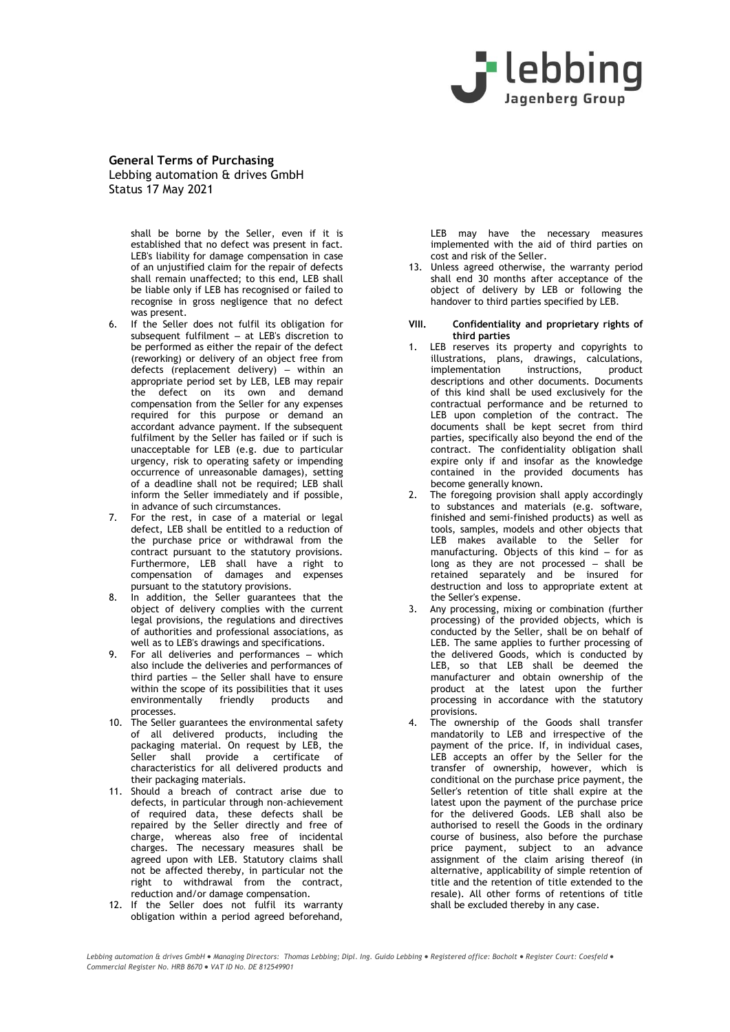

> shall be borne by the Seller, even if it is established that no defect was present in fact. LEB's liability for damage compensation in case of an unjustified claim for the repair of defects shall remain unaffected; to this end, LEB shall be liable only if LEB has recognised or failed to recognise in gross negligence that no defect was present.

- 6. If the Seller does not fulfil its obligation for subsequent fulfilment – at LEB's discretion to be performed as either the repair of the defect (reworking) or delivery of an object free from defects (replacement delivery) – within an appropriate period set by LEB, LEB may repair the defect on its own and demand compensation from the Seller for any expenses required for this purpose or demand an accordant advance payment. If the subsequent fulfilment by the Seller has failed or if such is unacceptable for LEB (e.g. due to particular urgency, risk to operating safety or impending occurrence of unreasonable damages), setting of a deadline shall not be required; LEB shall inform the Seller immediately and if possible, in advance of such circumstances.
- 7. For the rest, in case of a material or legal defect, LEB shall be entitled to a reduction of the purchase price or withdrawal from the contract pursuant to the statutory provisions. Furthermore, LEB shall have a right to compensation of damages and expenses pursuant to the statutory provisions.
- 8. In addition, the Seller guarantees that the object of delivery complies with the current legal provisions, the regulations and directives of authorities and professional associations, as well as to LEB's drawings and specifications.
- 9. For all deliveries and performances which also include the deliveries and performances of third parties – the Seller shall have to ensure within the scope of its possibilities that it uses environmentally friendly products and processes.
- 10. The Seller guarantees the environmental safety of all delivered products, including the packaging material. On request by LEB, the Seller shall provide a certificate of characteristics for all delivered products and their packaging materials.
- 11. Should a breach of contract arise due to defects, in particular through non-achievement of required data, these defects shall be repaired by the Seller directly and free of charge, whereas also free of incidental charges. The necessary measures shall be agreed upon with LEB. Statutory claims shall not be affected thereby, in particular not the right to withdrawal from the contract, reduction and/or damage compensation.
- 12. If the Seller does not fulfil its warranty obligation within a period agreed beforehand,

LEB may have the necessary measures implemented with the aid of third parties on cost and risk of the Seller.

13. Unless agreed otherwise, the warranty period shall end 30 months after acceptance of the object of delivery by LEB or following the handover to third parties specified by LEB.

#### **VIII. Confidentiality and proprietary rights of third parties**

- 1. LEB reserves its property and copyrights to illustrations, plans, drawings, calculations, implementation instructions, product descriptions and other documents. Documents of this kind shall be used exclusively for the contractual performance and be returned to LEB upon completion of the contract. The documents shall be kept secret from third parties, specifically also beyond the end of the contract. The confidentiality obligation shall expire only if and insofar as the knowledge contained in the provided documents has become generally known.
- 2. The foregoing provision shall apply accordingly to substances and materials (e.g. software, finished and semi-finished products) as well as tools, samples, models and other objects that LEB makes available to the Seller for manufacturing. Objects of this kind – for as long as they are not processed – shall be retained separately and be insured for destruction and loss to appropriate extent at the Seller's expense.
- 3. Any processing, mixing or combination (further processing) of the provided objects, which is conducted by the Seller, shall be on behalf of LEB. The same applies to further processing of the delivered Goods, which is conducted by LEB, so that LEB shall be deemed the manufacturer and obtain ownership of the product at the latest upon the further processing in accordance with the statutory provisions.
- 4. The ownership of the Goods shall transfer mandatorily to LEB and irrespective of the payment of the price. If, in individual cases, LEB accepts an offer by the Seller for the transfer of ownership, however, which is conditional on the purchase price payment, the Seller's retention of title shall expire at the latest upon the payment of the purchase price for the delivered Goods. LEB shall also be authorised to resell the Goods in the ordinary course of business, also before the purchase price payment, subject to an advance assignment of the claim arising thereof (in alternative, applicability of simple retention of title and the retention of title extended to the resale). All other forms of retentions of title shall be excluded thereby in any case.